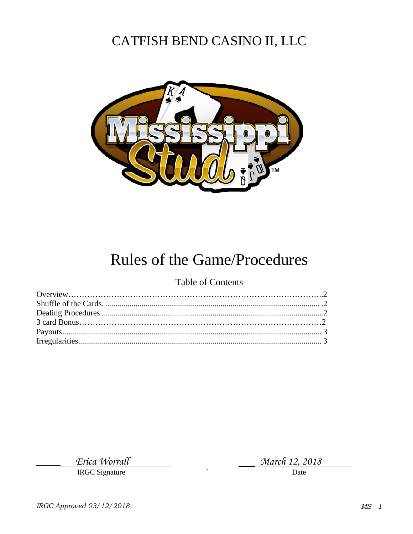# CATFISH BEND CASINO II, LLC



# Rules of the Game/Procedures

### Table of Contents

Erica Worrall

**IRGC** Signature

March 12, 2018

Date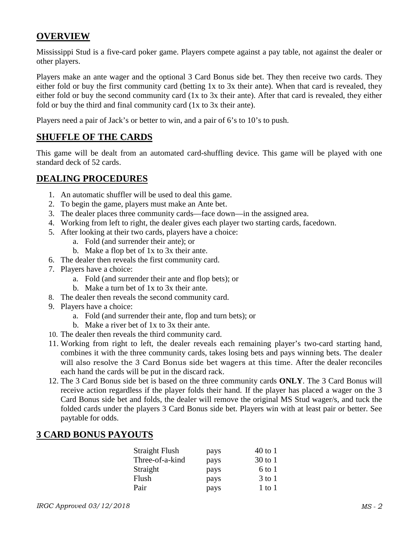### **OVERVIEW**

Mississippi Stud is a five-card poker game. Players compete against a pay table, not against the dealer or other players.

Players make an ante wager and the optional 3 Card Bonus side bet. They then receive two cards. They either fold or buy the first community card (betting 1x to 3x their ante). When that card is revealed, they either fold or buy the second community card (1x to 3x their ante). After that card is revealed, they either fold or buy the third and final community card (1x to 3x their ante).

Players need a pair of Jack's or better to win, and a pair of 6's to 10's to push.

### **SHUFFLE OF THE CARDS**

This game will be dealt from an automated card-shuffling device. This game will be played with one standard deck of 52 cards.

#### **DEALING PROCEDURES**

- 1. An automatic shuffler will be used to deal this game.
- 2. To begin the game, players must make an Ante bet.
- 3. The dealer places three community cards—face down—in the assigned area.
- 4. Working from left to right, the dealer gives each player two starting cards, facedown.
- 5. After looking at their two cards, players have a choice:
	- a. Fold (and surrender their ante); or
	- b. Make a flop bet of 1x to 3x their ante.
- 6. The dealer then reveals the first community card.
- 7. Players have a choice:
	- a. Fold (and surrender their ante and flop bets); or
	- b. Make a turn bet of 1x to 3x their ante.
- 8. The dealer then reveals the second community card.
- 9. Players have a choice:
	- a. Fold (and surrender their ante, flop and turn bets); or
	- b. Make a river bet of 1x to 3x their ante.
- 10. The dealer then reveals the third community card.
- 11. Working from right to left, the dealer reveals each remaining player's two-card starting hand, combines it with the three community cards, takes losing bets and pays winning bets. The dealer will also resolve the 3 Card Bonus side bet wagers at this time. After the dealer reconciles each hand the cards will be put in the discard rack.
- 12. The 3 Card Bonus side bet is based on the three community cards **ONLY**. The 3 Card Bonus will receive action regardless if the player folds their hand. If the player has placed a wager on the 3 Card Bonus side bet and folds, the dealer will remove the original MS Stud wager/s, and tuck the folded cards under the players 3 Card Bonus side bet. Players win with at least pair or better. See paytable for odds.

### **3 CARD BONUS PAYOUTS**

| Straight Flush  | pays | $40$ to 1  |
|-----------------|------|------------|
| Three-of-a-kind | pays | $30$ to 1  |
| Straight        | pays | 6 to 1     |
| Flush           | pays | $3$ to 1   |
| Pair            | pays | $1$ to $1$ |